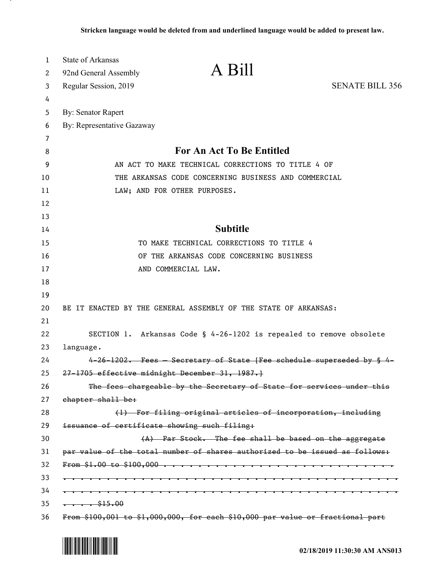| 1<br>2 | <b>State of Arkansas</b><br>A Bill<br>92nd General Assembly                   |  |
|--------|-------------------------------------------------------------------------------|--|
| 3      | <b>SENATE BILL 356</b><br>Regular Session, 2019                               |  |
| 4      |                                                                               |  |
| 5      | <b>By: Senator Rapert</b>                                                     |  |
| 6      | By: Representative Gazaway                                                    |  |
| 7      |                                                                               |  |
| 8      | For An Act To Be Entitled                                                     |  |
| 9      | AN ACT TO MAKE TECHNICAL CORRECTIONS TO TITLE 4 OF                            |  |
| 10     | THE ARKANSAS CODE CONCERNING BUSINESS AND COMMERCIAL                          |  |
| 11     | LAW; AND FOR OTHER PURPOSES.                                                  |  |
| 12     |                                                                               |  |
| 13     |                                                                               |  |
| 14     | <b>Subtitle</b>                                                               |  |
| 15     | TO MAKE TECHNICAL CORRECTIONS TO TITLE 4                                      |  |
| 16     | OF THE ARKANSAS CODE CONCERNING BUSINESS                                      |  |
| 17     | AND COMMERCIAL LAW.                                                           |  |
| 18     |                                                                               |  |
| 19     |                                                                               |  |
| 20     | BE IT ENACTED BY THE GENERAL ASSEMBLY OF THE STATE OF ARKANSAS:               |  |
| 21     |                                                                               |  |
| 22     | SECTION 1. Arkansas Code § 4-26-1202 is repealed to remove obsolete           |  |
| 23     | language.                                                                     |  |
| 24     | 4-26-1202. Fees - Secretary of State [Fee schedule superseded by § 4-         |  |
| 25     | 27-1705 effective midnight December 31, 1987.}                                |  |
| 26     | The fees chargeable by the Secretary of State for services under this         |  |
| 27     | chapter shall be:                                                             |  |
| 28     | (1) For filing original articles of incorporation, including                  |  |
| 29     | issuance of certificate showing such filing:                                  |  |
| 30     | (A) Par Stock. The fee shall be based on the aggregate                        |  |
| 31     | par value of the total number of shares authorized to be issued as follows:   |  |
| 32     |                                                                               |  |
| 33     |                                                                               |  |
| 34     |                                                                               |  |
| 35     | $\cdots \cdots$ \$15.00                                                       |  |
| 36     | From \$100,001 to \$1,000,000, for each \$10,000 par value or fractional part |  |

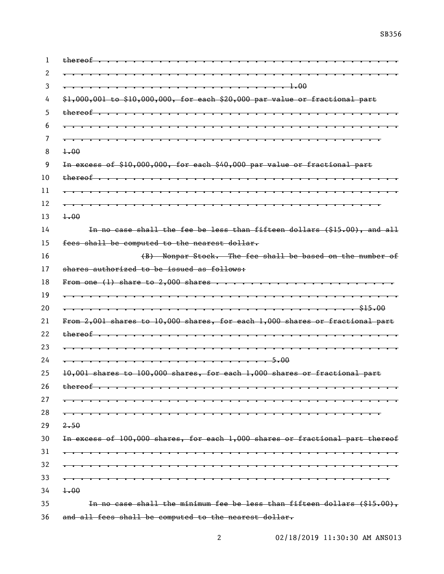| $thereof$                                                                            |
|--------------------------------------------------------------------------------------|
|                                                                                      |
| . 1.00                                                                               |
| $$1,000,001$ to $$10,000,000$ , for each $$20,000$ par value or fractional part      |
| $thereof$                                                                            |
|                                                                                      |
| .                                                                                    |
| $+00$                                                                                |
| In excess of \$10,000,000, for each \$40,000 par value or fractional part            |
| $thereof \t.$<br><del>.</del>                                                        |
|                                                                                      |
|                                                                                      |
| $+00$                                                                                |
| In no case shall the fee be less than fifteen dollars (\$15.00), and all             |
| fees shall be computed to the nearest dollar.                                        |
| (B) Nonpar Stock. The fee shall be based on the number of                            |
| shares authorized to be issued as follows:                                           |
| From one (1) share to 2,000 shares $\dots \dots \dots \dots \dots \dots \dots \dots$ |
| .                                                                                    |
| \$15.00                                                                              |
| From 2,001 shares to 10,000 shares, for each 1,000 shares or fractional part         |
| thereof<br><del>.</del>                                                              |
|                                                                                      |
|                                                                                      |
| 10,001 shares to 100,000 shares, for each 1,000 shares or fractional part            |
| thereof                                                                              |
|                                                                                      |
|                                                                                      |
| 2.50                                                                                 |
| In excess of 100,000 shares, for each 1,000 shares or fractional part thereof        |
|                                                                                      |
|                                                                                      |
|                                                                                      |
| 1.00                                                                                 |
| In no case shall the minimum fee be less than fifteen dollars (\$15.00),             |
| and all fees shall be computed to the nearest dollar.                                |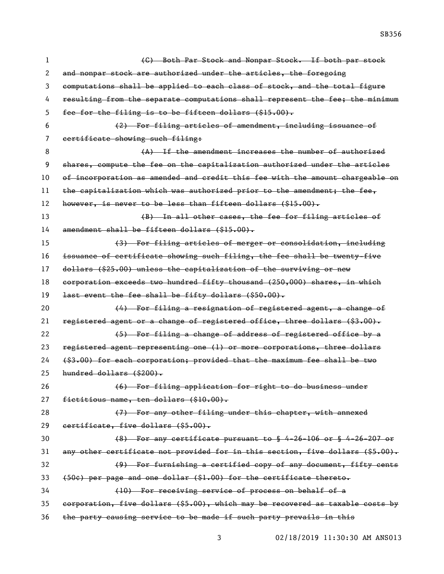(C) Both Par Stock and Nonpar Stock. If both par stock 2 and nonpar stock are authorized under the articles, the foregoing computations shall be applied to each class of stock, and the total figure 4 resulting from the separate computations shall represent the fee; the minimum fee for the filing is to be fifteen dollars (\$15.00). (2) For filing articles of amendment, including issuance of 7 eertificate showing such filing: 8 (A) If the amendment increases the number of authorized shares, compute the fee on the capitalization authorized under the articles 10 of incorporation as amended and credit this fee with the amount chargeable on 11 the capitalization which was authorized prior to the amendment; the fee, however, is never to be less than fifteen dollars (\$15.00). (B) In all other cases, the fee for filing articles of amendment shall be fifteen dollars (\$15.00). (3) For filing articles of merger or consolidation, including issuance of certificate showing such filing, the fee shall be twenty-five 17 dollars (\$25.00) unless the capitalization of the surviving or new corporation exceeds two hundred fifty thousand (250,000) shares, in which last event the fee shall be fifty dollars (\$50.00). **(4)** For filing a resignation of registered agent, a change of 21 registered agent or a change of registered office, three dollars (\$3.00). 22 (5) For filing a change of address of registered office by a registered agent representing one (1) or more corporations, three dollars (\$3.00) for each corporation; provided that the maximum fee shall be two hundred dollars (\$200). (6) For filing application for right to do business under 27 fictitious name, ten dollars (\$10.00). (7) For any other filing under this chapter, with annexed certificate, five dollars (\$5.00). (8) For any certificate pursuant to § 4-26-106 or § 4-26-207 or any other certificate not provided for in this section, five dollars (\$5.00). (9) For furnishing a certified copy of any document, fifty cents (50¢) per page and one dollar (\$1.00) for the certificate thereto. (10) For receiving service of process on behalf of a corporation, five dollars (\$5.00), which may be recovered as taxable costs by the party causing service to be made if such party prevails in this

02/18/2019 11:30:30 AM ANS013

SB356